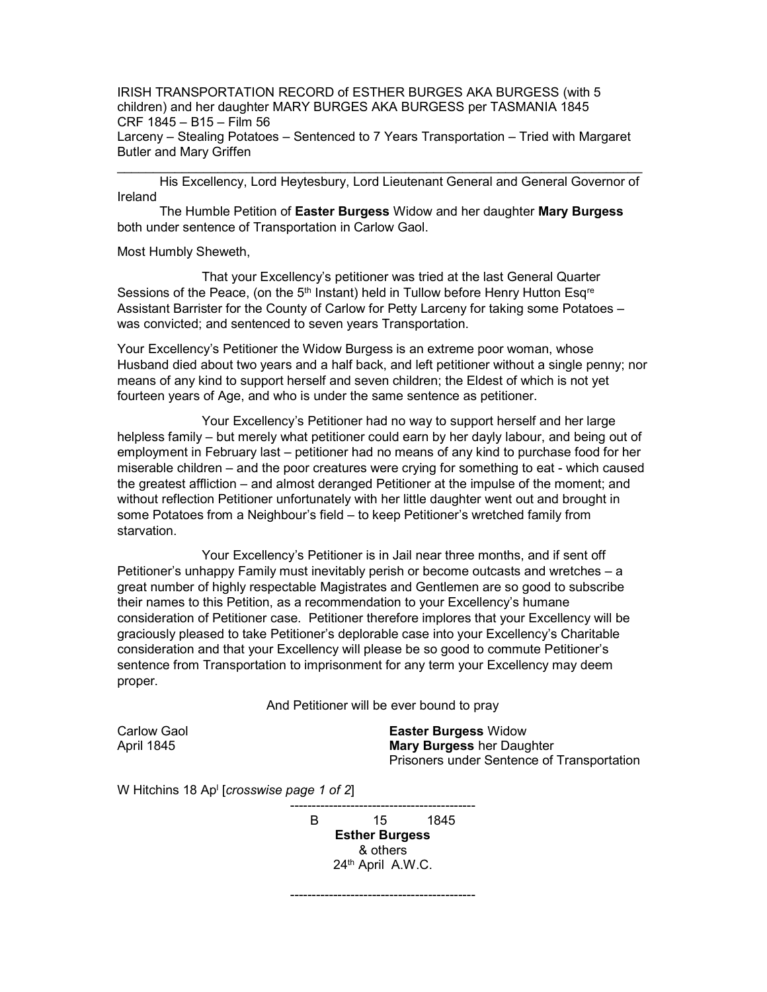IRISH TRANSPORTATION RECORD of ESTHER BURGES AKA BURGESS (with 5 children) and her daughter MARY BURGES AKA BURGESS per TASMANIA 1845 CRF 1845 – B15 – Film 56 Larceny – Stealing Potatoes – Sentenced to 7 Years Transportation – Tried with Margaret Butler and Mary Griffen

\_\_\_\_\_\_\_\_\_\_\_\_\_\_\_\_\_\_\_\_\_\_\_\_\_\_\_\_\_\_\_\_\_\_\_\_\_\_\_\_\_\_\_\_\_\_\_\_\_\_\_\_\_\_\_\_\_\_\_\_\_\_\_\_\_\_\_\_\_\_\_\_\_ His Excellency, Lord Heytesbury, Lord Lieutenant General and General Governor of Ireland

 The Humble Petition of Easter Burgess Widow and her daughter Mary Burgess both under sentence of Transportation in Carlow Gaol.

Most Humbly Sheweth,

 That your Excellency's petitioner was tried at the last General Quarter Sessions of the Peace, (on the  $5<sup>th</sup>$  Instant) held in Tullow before Henry Hutton Esq<sup>re</sup> Assistant Barrister for the County of Carlow for Petty Larceny for taking some Potatoes – was convicted; and sentenced to seven years Transportation.

Your Excellency's Petitioner the Widow Burgess is an extreme poor woman, whose Husband died about two years and a half back, and left petitioner without a single penny; nor means of any kind to support herself and seven children; the Eldest of which is not yet fourteen years of Age, and who is under the same sentence as petitioner.

 Your Excellency's Petitioner had no way to support herself and her large helpless family – but merely what petitioner could earn by her dayly labour, and being out of employment in February last – petitioner had no means of any kind to purchase food for her miserable children – and the poor creatures were crying for something to eat - which caused the greatest affliction – and almost deranged Petitioner at the impulse of the moment; and without reflection Petitioner unfortunately with her little daughter went out and brought in some Potatoes from a Neighbour's field – to keep Petitioner's wretched family from starvation.

 Your Excellency's Petitioner is in Jail near three months, and if sent off Petitioner's unhappy Family must inevitably perish or become outcasts and wretches – a great number of highly respectable Magistrates and Gentlemen are so good to subscribe their names to this Petition, as a recommendation to your Excellency's humane consideration of Petitioner case. Petitioner therefore implores that your Excellency will be graciously pleased to take Petitioner's deplorable case into your Excellency's Charitable consideration and that your Excellency will please be so good to commute Petitioner's sentence from Transportation to imprisonment for any term your Excellency may deem proper.

And Petitioner will be ever bound to pray

Carlow Gaol April 1845

Easter Burgess Widow Mary Burgess her Daughter Prisoners under Sentence of Transportation

W Hitchins 18 Ap<sup>i</sup> [*crosswise page 1 of 2*]

------------------------------------------- B 15 1845 Esther Burgess & others 24th April A.W.C.

-------------------------------------------